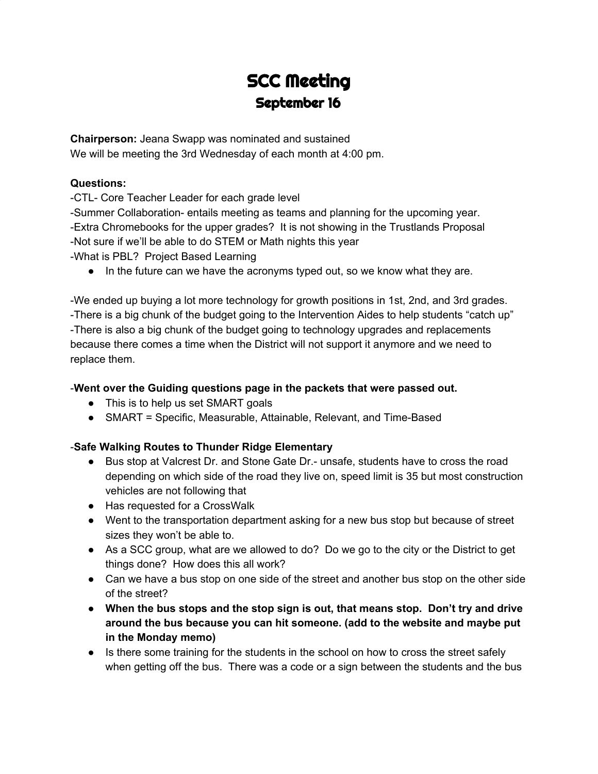# SCC Meeting September 16

**Chairperson:** Jeana Swapp was nominated and sustained We will be meeting the 3rd Wednesday of each month at 4:00 pm.

#### **Questions:**

-CTL- Core Teacher Leader for each grade level

-Summer Collaboration- entails meeting as teams and planning for the upcoming year. -Extra Chromebooks for the upper grades? It is not showing in the Trustlands Proposal -Not sure if we'll be able to do STEM or Math nights this year -What is PBL? Project Based Learning

• In the future can we have the acronyms typed out, so we know what they are.

-We ended up buying a lot more technology for growth positions in 1st, 2nd, and 3rd grades. -There is a big chunk of the budget going to the Intervention Aides to help students "catch up" -There is also a big chunk of the budget going to technology upgrades and replacements because there comes a time when the District will not support it anymore and we need to replace them.

### -**Went over the Guiding questions page in the packets that were passed out.**

- This is to help us set SMART goals
- SMART = Specific, Measurable, Attainable, Relevant, and Time-Based

## -**Safe Walking Routes to Thunder Ridge Elementary**

- Bus stop at Valcrest Dr. and Stone Gate Dr.- unsafe, students have to cross the road depending on which side of the road they live on, speed limit is 35 but most construction vehicles are not following that
- Has requested for a CrossWalk
- Went to the transportation department asking for a new bus stop but because of street sizes they won't be able to.
- As a SCC group, what are we allowed to do? Do we go to the city or the District to get things done? How does this all work?
- Can we have a bus stop on one side of the street and another bus stop on the other side of the street?
- **● When the bus stops and the stop sign is out, that means stop. Don't try and drive around the bus because you can hit someone. (add to the website and maybe put in the Monday memo)**
- Is there some training for the students in the school on how to cross the street safely when getting off the bus. There was a code or a sign between the students and the bus